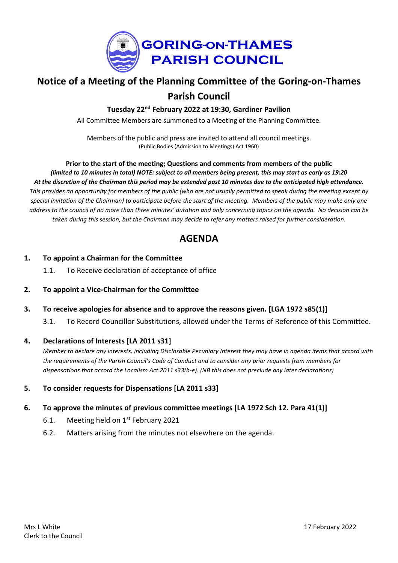

# **Notice of a Meeting of the Planning Committee of the Goring-on-Thames Parish Council**

**Tuesday 22nd February 2022 at 19:30, Gardiner Pavilion**

All Committee Members are summoned to a Meeting of the Planning Committee.

Members of the public and press are invited to attend all council meetings. (Public Bodies (Admission to Meetings) Act 1960)

# **Prior to the start of the meeting; Questions and comments from members of the public** (limited to 10 minutes in total) NOTE: subject to all members being present, this may start as early as 19:20 At the discretion of the Chairman this period may be extended past 10 minutes due to the anticipated high attendance. This provides an opportunity for members of the public (who are not usually permitted to speak during the meeting except by special invitation of the Chairman) to participate before the start of the meeting. Members of the public may make only one address to the council of no more than three minutes' duration and only concerning topics on the agenda. No decision can be taken during this session, but the Chairman may decide to refer any matters raised for further consideration.

# **AGENDA**

#### **1. To appoint a Chairman for the Committee**

1.1. To Receive declaration of acceptance of office

# **2. To appoint a Vice-Chairman for the Committee**

- **3. To receive apologies for absence and to approve the reasons given. [LGA 1972 s85(1)]**
	- 3.1. To Record Councillor Substitutions, allowed under the Terms of Reference of this Committee.

#### **4. Declarations of Interests [LA 2011 s31]**

Member to declare any interests, including Disclosable Pecuniary Interest they may have in agenda items that accord with the requirements of the Parish Council's Code of Conduct and to consider any prior requests from members for *dispensations that accord the Localism Act 2011 s33(b-e). (NB this does not preclude any later declarations)*

# **5. To consider requests for Dispensations [LA 2011 s33]**

#### **6. To approve the minutes of previous committee meetings [LA 1972 Sch 12. Para 41(1)]**

- 6.1. Meeting held on  $1<sup>st</sup>$  February 2021
- 6.2. Matters arising from the minutes not elsewhere on the agenda.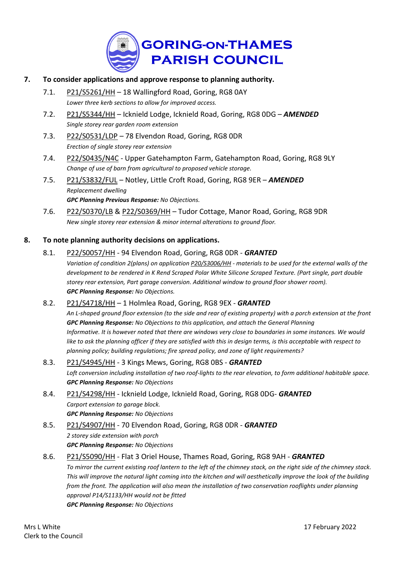

### **7. To consider applications and approve response to planning authority.**

- 7.1. [P21/S5261/HH](https://data.southoxon.gov.uk/ccm/support/Main.jsp?MODULE=ApplicationDetails&REF=P21/S5261/HH) 18 Wallingford Road, Goring, RG8 0AY *Lower three kerb sections to allow for improved access.*
- 7.2. [P21/S5344/HH](https://data.southoxon.gov.uk/ccm/support/Main.jsp?MODULE=ApplicationDetails&REF=P21/S5344/HH) Icknield Lodge, Icknield Road, Goring, RG8 0DG *AMENDED Single storey rear garden room extension*
- 7.3. [P22/S0531/LDP](https://data.southoxon.gov.uk/ccm/support/Main.jsp?MODULE=ApplicationDetails&REF=P22/S0531/LDP) 78 Elvendon Road, Goring, RG8 0DR *Erection of single storey rear extension*
- 7.4. [P22/S0435/N4C](https://data.southoxon.gov.uk/ccm/support/Main.jsp?MODULE=ApplicationDetails&REF=P22/S0435/N4C) Upper Gatehampton Farm, Gatehampton Road, Goring, RG8 9LY *Change of use of barn from agricultural to proposed vehicle storage.*
- 7.5. [P21/S3832/FUL](https://data.southoxon.gov.uk/ccm/support/Main.jsp?MODULE=ApplicationDetails&REF=P21/S3832/FUL) Notley, Little Croft Road, Goring, RG8 9ER *AMENDED Replacement dwelling GPC Planning Previous Response: No Objections.*
- 7.6. [P22/S0370/LB](https://data.southoxon.gov.uk/ccm/support/Main.jsp?MODULE=ApplicationDetails&REF=P22/S0370/LB) & [P22/S0369/HH](https://data.southoxon.gov.uk/ccm/support/Main.jsp?MODULE=ApplicationDetails&REF=P22/S0369/HH) Tudor Cottage, Manor Road, Goring, RG8 9DR *New single storey rear extension & minor internal alterations to ground floor.*

#### **8. To note planning authority decisions on applications.**

#### 8.1. [P22/S0057/HH](https://data.southoxon.gov.uk/ccm/support/Main.jsp?MODULE=ApplicationDetails&REF=P22/S0057/HH) - 94 Elvendon Road, Goring, RG8 0DR - *GRANTED*

Variation of condition 2(plans) on application [P20/S3006/HH](https://data.southoxon.gov.uk/ccm/support/Main.jsp?MODULE=ApplicationDetails&REF=P20/S3006/HH) - materials to be used for the external walls of the development to be rendered in K Rend Scraped Polar White Silicone Scraped Texture. (Part single, part double *storey rear extension, Part garage conversion. Additional window to ground floor shower room). GPC Planning Response: No Objections.*

#### 8.2. [P21/S4718/HH](https://data.southoxon.gov.uk/ccm/support/Main.jsp?MODULE=ApplicationDetails&REF=P21/S4718/HH) – 1 Holmlea Road, Goring, RG8 9EX - *GRANTED*

An L-shaped ground floor extension (to the side and rear of existing property) with a porch extension at the front *GPC Planning Response: No Objections to this application, and attach the General Planning* Informative. It is however noted that there are windows very close to boundaries in some instances. We would like to ask the planning officer if they are satisfied with this in design terms, is this acceptable with respect to *planning policy; building regulations; fire spread policy, and zone of light requirements?*

- 8.3. [P21/S4945/HH](https://data.southoxon.gov.uk/ccm/support/Main.jsp?MODULE=ApplicationDetails&REF=P21/S4945/HH) 3 Kings Mews, Goring, RG8 0BS *GRANTED* Loft conversion including installation of two roof-lights to the rear elevation, to form additional habitable space. *GPC Planning Response: No Objections*
- 8.4. [P21/S4298/HH](https://data.southoxon.gov.uk/ccm/support/Main.jsp?MODULE=ApplicationDetails&REF=P21/S4298/HH) Icknield Lodge, Icknield Road, Goring, RG8 0DG- *GRANTED Carport extension to garage block. GPC Planning Response: No Objections*
- 8.5. [P21/S4907/HH](https://data.southoxon.gov.uk/ccm/support/Main.jsp?MODULE=ApplicationDetails&REF=P21/S4907/HH) 70 Elvendon Road, Goring, RG8 0DR *GRANTED 2 storey side extension with porch GPC Planning Response: No Objections*
- 8.6. [P21/S5090/HH](https://data.southoxon.gov.uk/ccm/support/Main.jsp?MODULE=ApplicationDetails&REF=P21/S5090/HH) Flat 3 Oriel House, Thames Road, Goring, RG8 9AH *GRANTED* To mirror the current existing roof lantern to the left of the chimney stack, on the right side of the chimney stack. This will improve the natural light coming into the kitchen and will aesthetically improve the look of the building *from the front. The application will also mean the installation of two conservation rooflights under planning approval P14/S1133/HH would not be fitted GPC Planning Response: No Objections*